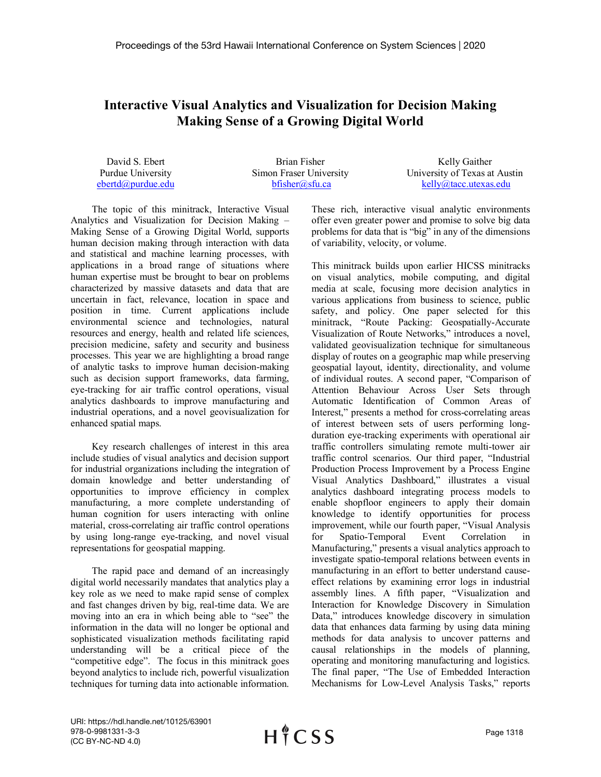## **Interactive Visual Analytics and Visualization for Decision Making Making Sense of a Growing Digital World**

David S. Ebert Purdue University ebertd@purdue.edu

Brian Fisher Simon Fraser University bfisher@sfu.ca

Kelly Gaither University of Texas at Austin kelly@tacc.utexas.edu

The topic of this minitrack, Interactive Visual Analytics and Visualization for Decision Making – Making Sense of a Growing Digital World, supports human decision making through interaction with data and statistical and machine learning processes, with applications in a broad range of situations where human expertise must be brought to bear on problems characterized by massive datasets and data that are uncertain in fact, relevance, location in space and position in time. Current applications include environmental science and technologies, natural resources and energy, health and related life sciences, precision medicine, safety and security and business processes. This year we are highlighting a broad range of analytic tasks to improve human decision-making such as decision support frameworks, data farming, eye-tracking for air traffic control operations, visual analytics dashboards to improve manufacturing and industrial operations, and a novel geovisualization for enhanced spatial maps.

Key research challenges of interest in this area include studies of visual analytics and decision support for industrial organizations including the integration of domain knowledge and better understanding of opportunities to improve efficiency in complex manufacturing, a more complete understanding of human cognition for users interacting with online material, cross-correlating air traffic control operations by using long-range eye-tracking, and novel visual representations for geospatial mapping.

The rapid pace and demand of an increasingly digital world necessarily mandates that analytics play a key role as we need to make rapid sense of complex and fast changes driven by big, real-time data. We are moving into an era in which being able to "see" the information in the data will no longer be optional and sophisticated visualization methods facilitating rapid understanding will be a critical piece of the "competitive edge". The focus in this minitrack goes beyond analytics to include rich, powerful visualization techniques for turning data into actionable information. These rich, interactive visual analytic environments offer even greater power and promise to solve big data problems for data that is "big" in any of the dimensions of variability, velocity, or volume.

This minitrack builds upon earlier HICSS minitracks on visual analytics, mobile computing, and digital media at scale, focusing more decision analytics in various applications from business to science, public safety, and policy. One paper selected for this minitrack, "Route Packing: Geospatially-Accurate Visualization of Route Networks," introduces a novel, validated geovisualization technique for simultaneous display of routes on a geographic map while preserving geospatial layout, identity, directionality, and volume of individual routes. A second paper, "Comparison of Attention Behaviour Across User Sets through Automatic Identification of Common Areas of Interest," presents a method for cross-correlating areas of interest between sets of users performing longduration eye-tracking experiments with operational air traffic controllers simulating remote multi-tower air traffic control scenarios. Our third paper, "Industrial Production Process Improvement by a Process Engine Visual Analytics Dashboard," illustrates a visual analytics dashboard integrating process models to enable shopfloor engineers to apply their domain knowledge to identify opportunities for process improvement, while our fourth paper, "Visual Analysis for Spatio-Temporal Event Correlation in Manufacturing," presents a visual analytics approach to investigate spatio-temporal relations between events in manufacturing in an effort to better understand causeeffect relations by examining error logs in industrial assembly lines. A fifth paper, "Visualization and Interaction for Knowledge Discovery in Simulation Data," introduces knowledge discovery in simulation data that enhances data farming by using data mining methods for data analysis to uncover patterns and causal relationships in the models of planning, operating and monitoring manufacturing and logistics. The final paper, "The Use of Embedded Interaction Mechanisms for Low-Level Analysis Tasks," reports